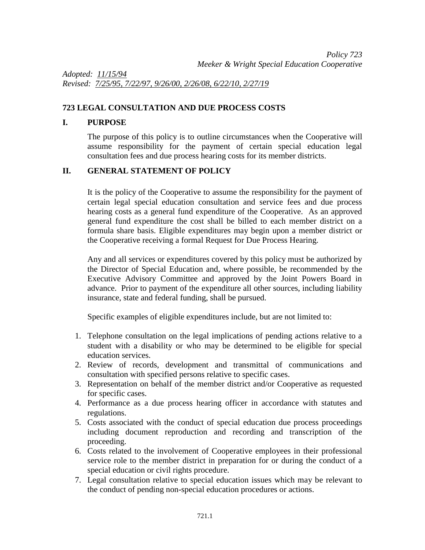*Adopted: 11/15/94 Revised: 7/25/95, 7/22/97, 9/26/00, 2/26/08, 6/22/10, 2/27/19*

## **723 LEGAL CONSULTATION AND DUE PROCESS COSTS**

## **I. PURPOSE**

The purpose of this policy is to outline circumstances when the Cooperative will assume responsibility for the payment of certain special education legal consultation fees and due process hearing costs for its member districts.

## **II. GENERAL STATEMENT OF POLICY**

It is the policy of the Cooperative to assume the responsibility for the payment of certain legal special education consultation and service fees and due process hearing costs as a general fund expenditure of the Cooperative. As an approved general fund expenditure the cost shall be billed to each member district on a formula share basis. Eligible expenditures may begin upon a member district or the Cooperative receiving a formal Request for Due Process Hearing.

Any and all services or expenditures covered by this policy must be authorized by the Director of Special Education and, where possible, be recommended by the Executive Advisory Committee and approved by the Joint Powers Board in advance. Prior to payment of the expenditure all other sources, including liability insurance, state and federal funding, shall be pursued.

Specific examples of eligible expenditures include, but are not limited to:

- 1. Telephone consultation on the legal implications of pending actions relative to a student with a disability or who may be determined to be eligible for special education services.
- 2. Review of records, development and transmittal of communications and consultation with specified persons relative to specific cases.
- 3. Representation on behalf of the member district and/or Cooperative as requested for specific cases.
- 4. Performance as a due process hearing officer in accordance with statutes and regulations.
- 5. Costs associated with the conduct of special education due process proceedings including document reproduction and recording and transcription of the proceeding.
- 6. Costs related to the involvement of Cooperative employees in their professional service role to the member district in preparation for or during the conduct of a special education or civil rights procedure.
- 7. Legal consultation relative to special education issues which may be relevant to the conduct of pending non-special education procedures or actions.